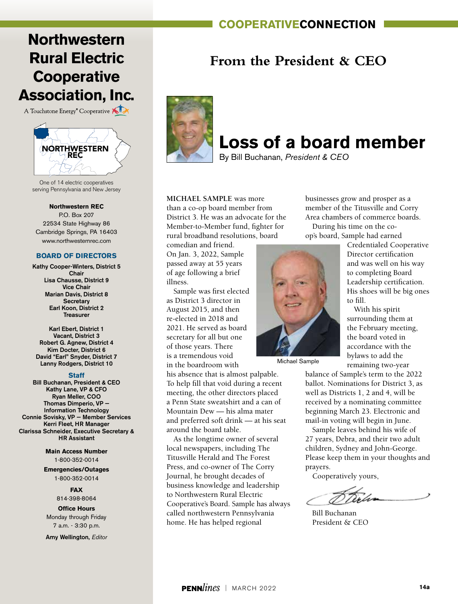### **cooperativeconnection**

## **Northwestern Rural Electric Cooperative Association, Inc.**

A Touchstone Energy<sup>®</sup> Cooperative



One of 14 electric cooperatives serving Pennsylvania and New Jersey

**Northwestern REC**

P.O. Box 207 22534 State Highway 86 Cambridge Springs, PA 16403 www.northwesternrec.com

#### **BOARD OF DIRECTORS**

Kathy Cooper-Winters, District 5 Chair Lisa Chausse, District 9 Vice Chair Marian Davis, District 8 **Secretary** Earl Koon, District 2 Treasurer

Karl Ebert, District 1 Vacant, District 3 Robert G. Agnew, District 4 Kim Docter, District 6 David "Earl" Snyder, District 7 Lanny Rodgers, District 10

#### **Staff**

Bill Buchanan, President & CEO Kathy Lane, VP & CFO Ryan Meller, COO Thomas Dimperio, VP — Information Technology Connie Sovisky, VP — Member Services Kerri Fleet, HR Manager Clarissa Schneider, Executive Secretary & HR Assistant

> **Main Access Number** 1-800-352-0014

**Emergencies/Outages** 1-800-352-0014

**FAX**

814-398-8064

**Office Hours** Monday through Friday 7 a.m. - 3:30 p.m.

Amy Wellington, *Editor*

### **From the President & CEO**



# **Loss of a board member**

By Bill Buchanan, *President & CEO*

**MICHAEL SAMPLE** was more than a co-op board member from District 3. He was an advocate for the Member-to-Member fund, fighter for rural broadband resolutions, board

comedian and friend. On Jan. 3, 2022, Sample passed away at 55 years of age following a brief illness.

Sample was first elected as District 3 director in August 2015, and then re-elected in 2018 and 2021. He served as board secretary for all but one of those years. There is a tremendous void in the boardroom with

his absence that is almost palpable. To help fill that void during a recent meeting, the other directors placed a Penn State sweatshirt and a can of Mountain Dew — his alma mater and preferred soft drink — at his seat around the board table.

As the longtime owner of several local newspapers, including The Titusville Herald and The Forest Press, and co-owner of The Corry Journal, he brought decades of business knowledge and leadership to Northwestern Rural Electric Cooperative's Board. Sample has always called northwestern Pennsylvania home. He has helped regional

businesses grow and prosper as a member of the Titusville and Corry Area chambers of commerce boards. During his time on the coop's board, Sample had earned

Michael Sample

Credentialed Cooperative Director certification and was well on his way to completing Board Leadership certification. His shoes will be big ones to fill.

With his spirit surrounding them at the February meeting, the board voted in accordance with the bylaws to add the remaining two-year

balance of Sample's term to the 2022 ballot. Nominations for District 3, as well as Districts 1, 2 and 4, will be received by a nominating committee beginning March 23. Electronic and mail-in voting will begin in June.

Sample leaves behind his wife of 27 years, Debra, and their two adult children, Sydney and John-George. Please keep them in your thoughts and prayers.

Cooperatively yours,

Bill Buchanan President & CEO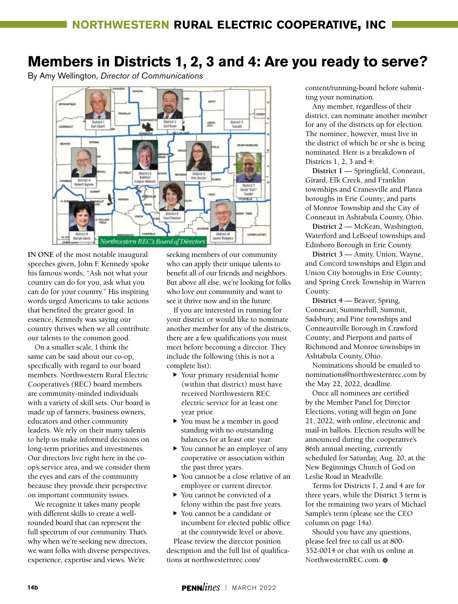## **Members in Districts 1, 2, 3 and 4: Are you ready to serve?**

By Amy Wellington, *Director of Communications*



**IN ONE** of the most notable inaugural speeches given, John F. Kennedy spoke his famous words, "Ask not what your country can do for you, ask what you can do for your country." His inspiring words urged Americans to take actions that benefited the greater good. In essence, Kennedy was saying our country thrives when we all contribute our talents to the common good.

On a smaller scale, I think the same can be said about our co-op, specifically with regard to our board members. Northwestern Rural Electric Cooperative's (REC) board members are community-minded individuals with a variety of skill sets. Our board is made up of farmers, business owners, educators and other community leaders. We rely on their many talents to help us make informed decisions on long-term priorities and investments. Our directors live right here in the coop's service area, and we consider them the eyes and ears of the community because they provide their perspective on important community issues.

We recognize it takes many people with different skills to create a wellrounded board that can represent the full spectrum of our community. That's why when we're seeking new directors, we want folks with diverse perspectives, experience, expertise and views. We're

seeking members of our community who can apply their unique talents to benefit all of our friends and neighbors. But above all else, we're looking for folks who love our community and want to see it thrive now and in the future.

If you are interested in running for your district or would like to nominate another member for any of the districts, there are a few qualifications you must meet before becoming a director. They include the following (this is not a complete list):

- $\blacktriangleright$  Your primary residential home (within that district) must have received Northwestern REC electric service for at least one year prior.
- You must be a member in good standing with no outstanding balances for at least one year.
- You cannot be an employee of any cooperative or association within the past three years.
- k You cannot be a close relative of an employee or current director.
- ▶ You cannot be convicted of a felony within the past five years.
- ▶ You cannot be a candidate or incumbent for elected public office at the countywide level or above.

Please review the director position description and the full list of qualifications at northwesternrec.com/

content/running-board before submitting your nomination.

Any member, regardless of their district, can nominate another member for any of the districts up for election. The nominee, however, must live in the district of which he or she is being nominated. Here is a breakdown of Districts 1, 2, 3 and 4:

**District 1** — Springfield, Conneaut, Girard, Elk Creek, and Franklin townships and Cranesville and Platea boroughs in Erie County; and parts of Monroe Township and the City of Conneaut in Ashtabula County, Ohio.

**District 2** — McKean, Washington, Waterford and LeBoeuf townships and Edinboro Borough in Erie County.

**District 3** — Amity, Union, Wayne, and Concord townships and Elgin and Union City boroughs in Erie County; and Spring Creek Township in Warren County.

**District 4** — Beaver, Spring, Conneaut, Summerhill, Summit, Sadsbury, and Pine townships and Conneautville Borough in Crawford County; and Pierpont and parts of Richmond and Monroe townships in Ashtabula County, Ohio.

Nominations should be emailed to nominations@northwesternrec.com by the May 22, 2022, deadline.

Once all nominees are certified by the Member Panel for Director Elections, voting will begin on June 21, 2022, with online, electronic and mail-in ballots. Election results will be announced during the cooperative's 86th annual meeting, currently scheduled for Saturday, Aug. 20, at the New Beginnings Church of God on Leslie Road in Meadville.

Terms for Districts 1, 2 and 4 are for three years, while the District 3 term is for the remaining two years of Michael Sample's term (please see the CEO column on page 14a).

Should you have any questions, please feel free to call us at 800- 352-0014 or chat with us online at NorthwesternREC.com. a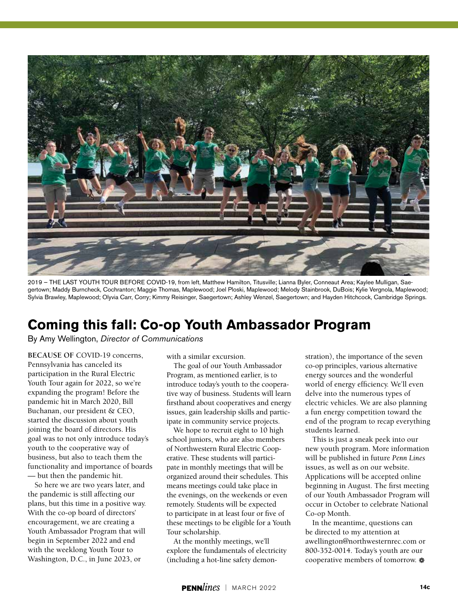

2019 — THE LAST YOUTH TOUR BEFORE COVID-19, from left, Matthew Hamilton, Titusville; Lianna Byler, Conneaut Area; Kaylee Mulligan, Saegertown; Maddy Burncheck, Cochranton; Maggie Thomas, Maplewood; Joel Ploski, Maplewood; Melody Stainbrook, DuBois; Kylie Vergnola, Maplewood; Sylvia Brawley, Maplewood; Olyvia Carr, Corry; Kimmy Reisinger, Saegertown; Ashley Wenzel, Saegertown; and Hayden Hitchcock, Cambridge Springs.

## **Coming this fall: Co-op Youth Ambassador Program**

By Amy Wellington, *Director of Communications*

**BECAUSE OF** COVID-19 concerns, Pennsylvania has canceled its participation in the Rural Electric Youth Tour again for 2022, so we're expanding the program! Before the pandemic hit in March 2020, Bill Buchanan, our president & CEO, started the discussion about youth joining the board of directors. His goal was to not only introduce today's youth to the cooperative way of business, but also to teach them the functionality and importance of boards — but then the pandemic hit.

So here we are two years later, and the pandemic is still affecting our plans, but this time in a positive way. With the co-op board of directors' encouragement, we are creating a Youth Ambassador Program that will begin in September 2022 and end with the weeklong Youth Tour to Washington, D.C., in June 2023, or

with a similar excursion.

The goal of our Youth Ambassador Program, as mentioned earlier, is to introduce today's youth to the cooperative way of business. Students will learn firsthand about cooperatives and energy issues, gain leadership skills and participate in community service projects.

We hope to recruit eight to 10 high school juniors, who are also members of Northwestern Rural Electric Cooperative. These students will participate in monthly meetings that will be organized around their schedules. This means meetings could take place in the evenings, on the weekends or even remotely. Students will be expected to participate in at least four or five of these meetings to be eligible for a Youth Tour scholarship.

At the monthly meetings, we'll explore the fundamentals of electricity (including a hot-line safety demon-

stration), the importance of the seven co-op principles, various alternative energy sources and the wonderful world of energy efficiency. We'll even delve into the numerous types of electric vehicles. We are also planning a fun energy competition toward the end of the program to recap everything students learned.

This is just a sneak peek into our new youth program. More information will be published in future *Penn Lines* issues, as well as on our website. Applications will be accepted online beginning in August. The first meeting of our Youth Ambassador Program will occur in October to celebrate National Co-op Month.

In the meantime, questions can be directed to my attention at awellington@northwesternrec.com or 800-352-0014. Today's youth are our cooperative members of tomorrow.